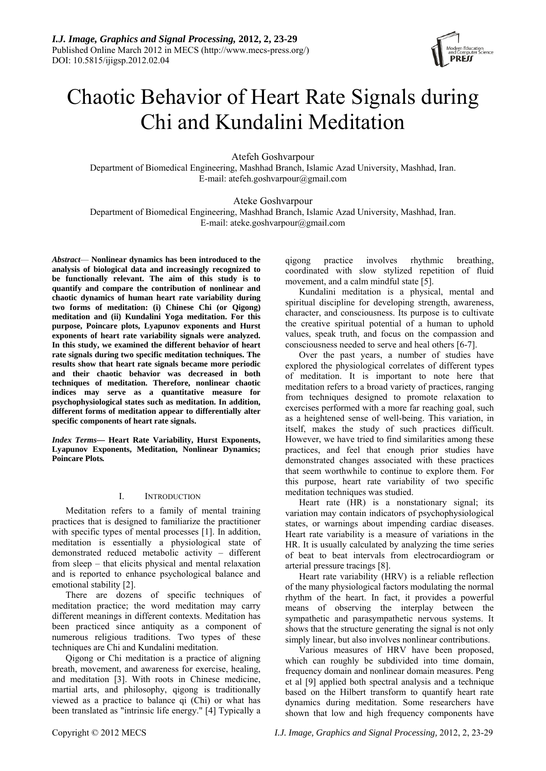# Chaotic Behavior of Heart Rate Signals during Chi and Kundalini Meditation

Atefeh Goshvarpour

Department of Biomedical Engineering, Mashhad Branch, Islamic Azad University, Mashhad, Iran. E-mail: atefeh.goshvarpour@gmail.com

Ateke Goshvarpour

Department of Biomedical Engineering, Mashhad Branch, Islamic Azad University, Mashhad, Iran. E-mail: ateke.goshvarpour@gmail.com

*Abstract*— **Nonlinear dynamics has been introduced to the analysis of biological data and increasingly recognized to be functionally relevant. The aim of this study is to quantify and compare the contribution of nonlinear and chaotic dynamics of human heart rate variability during two forms of meditation: (i) Chinese Chi (or Qigong) meditation and (ii) Kundalini Yoga meditation. For this purpose, Poincare plots, Lyapunov exponents and Hurst exponents of heart rate variability signals were analyzed. In this study, we examined the different behavior of heart rate signals during two specific meditation techniques. The results show that heart rate signals became more periodic and their chaotic behavior was decreased in both techniques of meditation. Therefore, nonlinear chaotic indices may serve as a quantitative measure for psychophysiological states such as meditation. In addition, different forms of meditation appear to differentially alter specific components of heart rate signals.** 

*Index Terms—* **Heart Rate Variability, Hurst Exponents, Lyapunov Exponents, Meditation, Nonlinear Dynamics; Poincare Plots***.*

# I. INTRODUCTION

Meditation refers to a family of mental training practices that is designed to familiarize the practitioner with specific types of mental processes [1]. In addition, meditation is essentially a physiological state of demonstrated reduced metabolic activity – different from sleep – that elicits physical and mental relaxation and is reported to enhance psychological balance and emotional stability [2].

There are dozens of specific techniques of meditation practice; the word meditation may carry different meanings in different contexts. Meditation has been practiced since antiquity as a component of numerous religious traditions. Two types of these techniques are Chi and Kundalini meditation.

Qigong or Chi meditation is a practice of aligning breath, movement, and awareness for exercise, healing, and meditation [3]. With roots in Chinese medicine, martial arts, and philosophy, qigong is traditionally viewed as a practice to balance qi (Chi) or what has been translated as "intrinsic life energy." [4] Typically a qigong practice involves rhythmic breathing, coordinated with slow stylized repetition of fluid movement, and a calm mindful state [5].

Kundalini meditation is a physical, mental and spiritual discipline for developing strength, awareness, character, and consciousness. Its purpose is to cultivate the creative spiritual potential of a human to uphold values, speak truth, and focus on the compassion and consciousness needed to serve and heal others [6-7].

Over the past years, a number of studies have explored the physiological correlates of different types of meditation. It is important to note here that meditation refers to a broad variety of practices, ranging from techniques designed to promote relaxation to exercises performed with a more far reaching goal, such as a heightened sense of well-being. This variation, in itself, makes the study of such practices difficult. However, we have tried to find similarities among these practices, and feel that enough prior studies have demonstrated changes associated with these practices that seem worthwhile to continue to explore them. For this purpose, heart rate variability of two specific meditation techniques was studied.

Heart rate (HR) is a nonstationary signal; its variation may contain indicators of psychophysiological states, or warnings about impending cardiac diseases. Heart rate variability is a measure of variations in the HR. It is usually calculated by analyzing the time series of beat to beat intervals from electrocardiogram or arterial pressure tracings [8].

Heart rate variability (HRV) is a reliable reflection of the many physiological factors modulating the normal rhythm of the heart. In fact, it provides a powerful means of observing the interplay between the sympathetic and parasympathetic nervous systems. It shows that the structure generating the signal is not only simply linear, but also involves nonlinear contributions.

Various measures of HRV have been proposed, which can roughly be subdivided into time domain, frequency domain and nonlinear domain measures. Peng et al [9] applied both spectral analysis and a technique based on the Hilbert transform to quantify heart rate dynamics during meditation. Some researchers have shown that low and high frequency components have

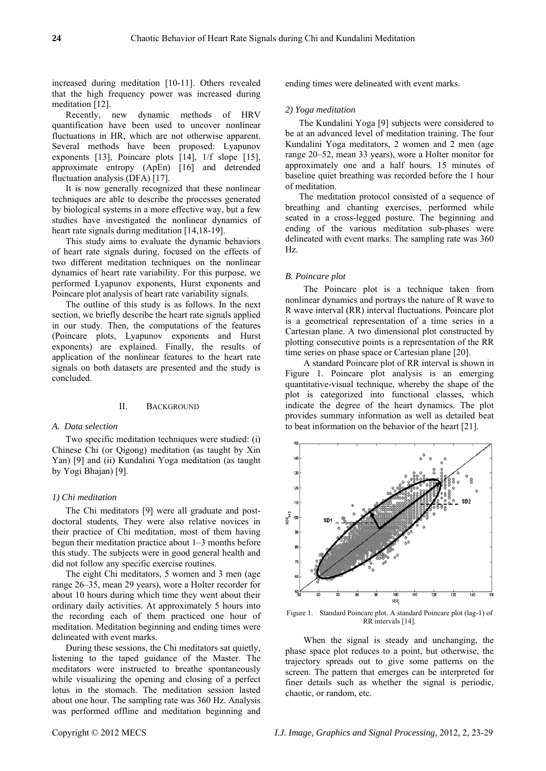increased during meditation [10-11]. Others revealed that the high frequency power was increased during meditation [12].

Recently, new dynamic methods of HRV quantification have been used to uncover nonlinear fluctuations in HR, which are not otherwise apparent. Several methods have been proposed: Lyapunov exponents [13], Poincare plots [14], 1/f slope [15], approximate entropy (ApEn) [16] and detrended fluctuation analysis (DFA) [17].

It is now generally recognized that these nonlinear techniques are able to describe the processes generated by biological systems in a more effective way, but a few studies have investigated the nonlinear dynamics of heart rate signals during meditation [14,18-19].

This study aims to evaluate the dynamic behaviors of heart rate signals during, focused on the effects of two different meditation techniques on the nonlinear dynamics of heart rate variability. For this purpose, we performed Lyapunov exponents, Hurst exponents and Poincare plot analysis of heart rate variability signals.

The outline of this study is as follows. In the next section, we briefly describe the heart rate signals applied in our study. Then, the computations of the features (Poincare plots, Lyapunov exponents and Hurst exponents) are explained. Finally, the results of application of the nonlinear features to the heart rate signals on both datasets are presented and the study is concluded.

# II. BACKGROUND

# *A. Data selection*

Two specific meditation techniques were studied: (i) Chinese Chi (or Qigong) meditation (as taught by Xin Yan) [9] and (ii) Kundalini Yoga meditation (as taught by Yogi Bhajan) [9].

## *1) Chi meditation*

The Chi meditators [9] were all graduate and postdoctoral students. They were also relative novices in their practice of Chi meditation, most of them having begun their meditation practice about 1–3 months before this study. The subjects were in good general health and did not follow any specific exercise routines.

The eight Chi meditators, 5 women and 3 men (age range 26–35, mean 29 years), wore a Holter recorder for about 10 hours during which time they went about their ordinary daily activities. At approximately 5 hours into the recording each of them practiced one hour of meditation. Meditation beginning and ending times were delineated with event marks.

During these sessions, the Chi meditators sat quietly, listening to the taped guidance of the Master. The meditators were instructed to breathe spontaneously while visualizing the opening and closing of a perfect lotus in the stomach. The meditation session lasted about one hour. The sampling rate was 360 Hz. Analysis was performed offline and meditation beginning and ending times were delineated with event marks.

## *2) Yoga meditation*

The Kundalini Yoga [9] subjects were considered to be at an advanced level of meditation training. The four Kundalini Yoga meditators, 2 women and 2 men (age range 20–52, mean 33 years), wore a Holter monitor for approximately one and a half hours. 15 minutes of baseline quiet breathing was recorded before the 1 hour of meditation.

The meditation protocol consisted of a sequence of breathing and chanting exercises, performed while seated in a cross-legged posture. The beginning and ending of the various meditation sub-phases were delineated with event marks. The sampling rate was 360 Hz.

# *B. Poincare plot*

The Poincare plot is a technique taken from nonlinear dynamics and portrays the nature of R wave to R wave interval (RR) interval fluctuations. Poincare plot is a geometrical representation of a time series in a Cartesian plane. A two dimensional plot constructed by plotting consecutive points is a representation of the RR time series on phase space or Cartesian plane [20].

A standard Poincare plot of RR interval is shown in Figure 1. Poincare plot analysis is an emerging quantitative-visual technique, whereby the shape of the plot is categorized into functional classes, which indicate the degree of the heart dynamics. The plot provides summary information as well as detailed beat to beat information on the behavior of the heart [21].



Figure 1. Standard Poincare plot. A standard Poincare plot (lag-1) of RR intervals [14].

When the signal is steady and unchanging, the phase space plot reduces to a point, but otherwise, the trajectory spreads out to give some patterns on the screen. The pattern that emerges can be interpreted for finer details such as whether the signal is periodic, chaotic, or random, etc.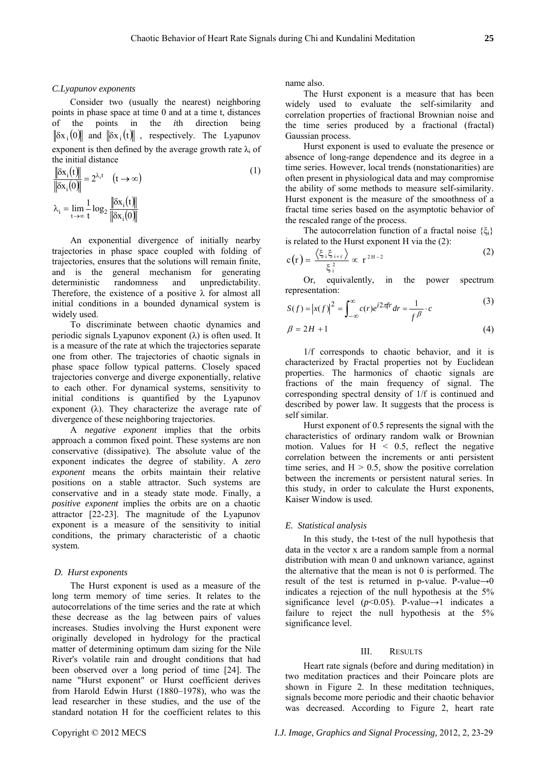## *C.Lyapunov exponents*

Consider two (usually the nearest) neighboring points in phase space at time 0 and at a time t, distances of the points in the *i*th direction being  $\|\delta x_i(0)\|$  and  $\|\delta x_i(t)\|$ , respectively. The Lyapunov exponent is then defined by the average growth rate  $\lambda_i$  of the initial distance

$$
\frac{\|\delta x_i(t)\|}{\|\delta x_i(0)\|} = 2^{\lambda_i t} \quad (t \to \infty)
$$
  

$$
\lambda_i = \lim_{t \to \infty} \frac{1}{t} \log_2 \frac{\|\delta x_i(t)\|}{\|\delta x_i(0)\|}
$$
 (1)

An exponential divergence of initially nearby trajectories in phase space coupled with folding of trajectories, ensures that the solutions will remain finite, and is the general mechanism for generating deterministic randomness and unpredictability. Therefore, the existence of a positive  $\lambda$  for almost all initial conditions in a bounded dynamical system is widely used.

To discriminate between chaotic dynamics and periodic signals Lyapunov exponent  $(\lambda)$  is often used. It is a measure of the rate at which the trajectories separate one from other. The trajectories of chaotic signals in phase space follow typical patterns. Closely spaced trajectories converge and diverge exponentially, relative to each other. For dynamical systems, sensitivity to initial conditions is quantified by the Lyapunov exponent  $(\lambda)$ . They characterize the average rate of divergence of these neighboring trajectories.

A *negative exponent* implies that the orbits approach a common fixed point. These systems are non conservative (dissipative). The absolute value of the exponent indicates the degree of stability. A *zero exponent* means the orbits maintain their relative positions on a stable attractor. Such systems are conservative and in a steady state mode. Finally, a *positive exponent* implies the orbits are on a chaotic attractor [22-23]. The magnitude of the Lyapunov exponent is a measure of the sensitivity to initial conditions, the primary characteristic of a chaotic system.

#### *D. Hurst exponents*

The Hurst exponent is used as a measure of the long term memory of time series. It relates to the autocorrelations of the time series and the rate at which these decrease as the lag between pairs of values increases. Studies involving the Hurst exponent were originally developed in hydrology for the practical matter of determining optimum dam sizing for the Nile River's volatile rain and drought conditions that had been observed over a long period of time [24]. The name "Hurst exponent" or Hurst coefficient derives from Harold Edwin Hurst (1880–1978), who was the lead researcher in these studies, and the use of the standard notation H for the coefficient relates to this

name also.

The Hurst exponent is a measure that has been widely used to evaluate the self-similarity and correlation properties of fractional Brownian noise and the time series produced by a fractional (fractal) Gaussian process.

Hurst exponent is used to evaluate the presence or absence of long-range dependence and its degree in a time series. However, local trends (nonstationarities) are often present in physiological data and may compromise the ability of some methods to measure self-similarity. Hurst exponent is the measure of the smoothness of a fractal time series based on the asymptotic behavior of the rescaled range of the process.

The autocorrelation function of a fractal noise  $\{\xi_i\}$ is related to the Hurst exponent H via the (2):

$$
c(r) = \frac{\langle \xi_i \xi_{i+r} \rangle}{\xi_i^2} \propto r^{2H-2}
$$
 (2)

Or, equivalently, in the power spectrum representation:

$$
S(f) = |x(f)|^2 = \int_{-\infty}^{\infty} c(r)e^{i2\pi f r} dr = \frac{1}{f} \theta \cdot c
$$
 (3)

$$
\beta = 2H + 1\tag{4}
$$

1/f corresponds to chaotic behavior, and it is characterized by Fractal properties not by Euclidean properties. The harmonics of chaotic signals are fractions of the main frequency of signal. The corresponding spectral density of 1/f is continued and described by power law. It suggests that the process is self similar.

Hurst exponent of 0.5 represents the signal with the characteristics of ordinary random walk or Brownian motion. Values for  $H \leq 0.5$ , reflect the negative correlation between the increments or anti persistent time series, and  $H > 0.5$ , show the positive correlation between the increments or persistent natural series. In this study, in order to calculate the Hurst exponents, Kaiser Window is used.

# *E. Statistical analysis*

In this study, the t-test of the null hypothesis that data in the vector x are a random sample from a normal distribution with mean 0 and unknown variance, against the alternative that the mean is not 0 is performed. The result of the test is returned in p-value. P-value $\rightarrow$ 0 indicates a rejection of the null hypothesis at the 5% significance level ( $p$ <0.05). P-value→1 indicates a failure to reject the null hypothesis at the  $5\%$ significance level.

#### III. RESULTS

Heart rate signals (before and during meditation) in two meditation practices and their Poincare plots are shown in Figure 2. In these meditation techniques, signals become more periodic and their chaotic behavior was decreased. According to Figure 2, heart rate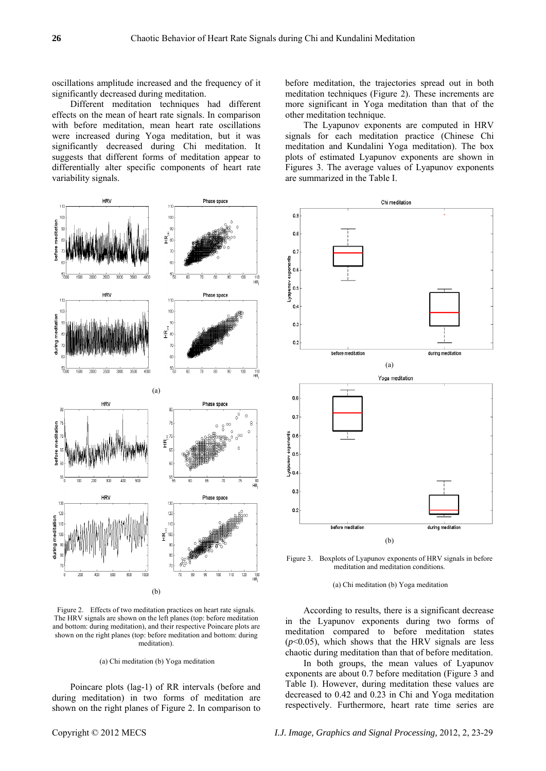oscillations amplitude increased and the frequency of it significantly decreased during meditation.

Different meditation techniques had different effects on the mean of heart rate signals. In comparison with before meditation, mean heart rate oscillations were increased during Yoga meditation, but it was significantly decreased during Chi meditation. It suggests that different forms of meditation appear to differentially alter specific components of heart rate variability signals.



before meditation, the trajectories spread out in both meditation techniques (Figure 2). These increments are more significant in Yoga meditation than that of the other meditation technique.

The Lyapunov exponents are computed in HRV signals for each meditation practice (Chinese Chi meditation and Kundalini Yoga meditation). The box plots of estimated Lyapunov exponents are shown in Figures 3. The average values of Lyapunov exponents are summarized in the Table I.



Figure 3. Boxplots of Lyapunov exponents of HRV signals in before meditation and meditation conditions.

(a) Chi meditation (b) Yoga meditation

Figure 2. Effects of two meditation practices on heart rate signals. The HRV signals are shown on the left planes (top: before meditation and bottom: during meditation), and their respective Poincare plots are shown on the right planes (top: before meditation and bottom: during meditation).

#### (a) Chi meditation (b) Yoga meditation

Poincare plots (lag-1) of RR intervals (before and during meditation) in two forms of meditation are shown on the right planes of Figure 2. In comparison to

According to results, there is a significant decrease in the Lyapunov exponents during two forms of meditation compared to before meditation states  $(p<0.05)$ , which shows that the HRV signals are less chaotic during meditation than that of before meditation.

In both groups, the mean values of Lyapunov exponents are about 0.7 before meditation (Figure 3 and Table I). However, during meditation these values are decreased to 0.42 and 0.23 in Chi and Yoga meditation respectively. Furthermore, heart rate time series are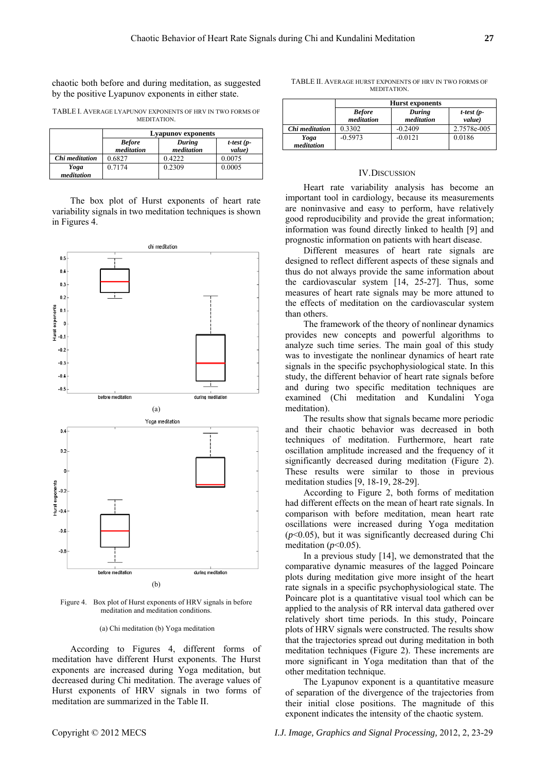chaotic both before and during meditation, as suggested by the positive Lyapunov exponents in either state.

TABLE I. AVERAGE LYAPUNOV EXPONENTS OF HRV IN TWO FORMS OF **MEDITATION** 

|                    | <b>Lyapunov</b> exponents   |                      |                         |  |
|--------------------|-----------------------------|----------------------|-------------------------|--|
|                    | <b>Before</b><br>meditation | During<br>meditation | $t$ -test (p-<br>value) |  |
| Chi meditation     | 0.6827                      | 0.4222               | 0.0075                  |  |
| Yoga<br>meditation | 0.7174                      | 0.2309               | 0.0005                  |  |

The box plot of Hurst exponents of heart rate variability signals in two meditation techniques is shown in Figures 4.



Figure 4. Box plot of Hurst exponents of HRV signals in before meditation and meditation conditions.

(a) Chi meditation (b) Yoga meditation

According to Figures 4, different forms of meditation have different Hurst exponents. The Hurst exponents are increased during Yoga meditation, but decreased during Chi meditation. The average values of Hurst exponents of HRV signals in two forms of meditation are summarized in the Table II.

TABLE II. AVERAGE HURST EXPONENTS OF HRV IN TWO FORMS OF

|                    | <b>Hurst exponents</b>      |                      |                           |  |
|--------------------|-----------------------------|----------------------|---------------------------|--|
|                    | <b>Before</b><br>meditation | During<br>meditation | $t$ -test $(p-$<br>value) |  |
| Chi meditation     | 0.3302                      | $-0.2409$            | 2.7578e-005               |  |
| Yoga<br>meditation | $-0.5973$                   | $-0.0121$            | 0.0186                    |  |

#### *IV.DISCUSSION*

Heart rate variability analysis has become an important tool in cardiology, because its measurements are noninvasive and easy to perform, have relatively good reproducibility and provide the great information; information was found directly linked to health [9] and prognostic information on patients with heart disease.

Different measures of heart rate signals are designed to reflect different aspects of these signals and thus do not always provide the same information about the cardiovascular system [14, 25-27]. Thus, some measures of heart rate signals may be more attuned to the effects of meditation on the cardiovascular system than others.

The framework of the theory of nonlinear dynamics provides new concepts and powerful algorithms to analyze such time series. The main goal of this study was to investigate the nonlinear dynamics of heart rate signals in the specific psychophysiological state. In this study, the different behavior of heart rate signals before and during two specific meditation techniques are examined (Chi meditation and Kundalini Yoga meditation).

The results show that signals became more periodic and their chaotic behavior was decreased in both techniques of meditation. Furthermore, heart rate oscillation amplitude increased and the frequency of it significantly decreased during meditation (Figure 2). These results were similar to those in previous meditation studies [9, 18-19, 28-29].

According to Figure 2, both forms of meditation had different effects on the mean of heart rate signals. In comparison with before meditation, mean heart rate oscillations were increased during Yoga meditation  $(p<0.05)$ , but it was significantly decreased during Chi meditation  $(p<0.05)$ .

In a previous study [14], we demonstrated that the comparative dynamic measures of the lagged Poincare plots during meditation give more insight of the heart rate signals in a specific psychophysiological state. The Poincare plot is a quantitative visual tool which can be applied to the analysis of RR interval data gathered over relatively short time periods. In this study, Poincare plots of HRV signals were constructed. The results show that the trajectories spread out during meditation in both meditation techniques (Figure 2). These increments are more significant in Yoga meditation than that of the other meditation technique.

The Lyapunov exponent is a quantitative measure of separation of the divergence of the trajectories from their initial close positions. The magnitude of this exponent indicates the intensity of the chaotic system.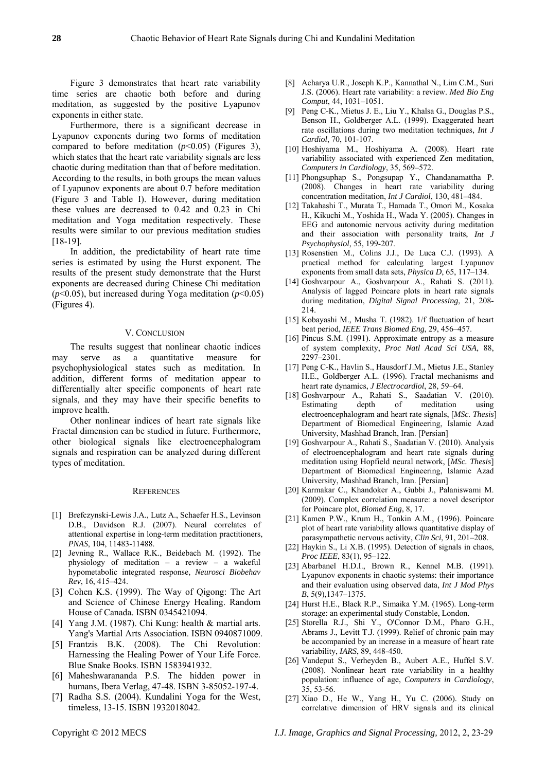Figure 3 demonstrates that heart rate variability time series are chaotic both before and during meditation, as suggested by the positive Lyapunov exponents in either state.

Furthermore, there is a significant decrease in Lyapunov exponents during two forms of meditation compared to before meditation  $(p<0.05)$  (Figures 3), which states that the heart rate variability signals are less chaotic during meditation than that of before meditation. According to the results, in both groups the mean values of Lyapunov exponents are about 0.7 before meditation (Figure 3 and Table I). However, during meditation these values are decreased to 0.42 and 0.23 in Chi meditation and Yoga meditation respectively. These results were similar to our previous meditation studies [18-19].

In addition, the predictability of heart rate time series is estimated by using the Hurst exponent. The results of the present study demonstrate that the Hurst exponents are decreased during Chinese Chi meditation ( $p$ <0.05), but increased during Yoga meditation ( $p$ <0.05) (Figures 4).

#### V. CONCLUSION

The results suggest that nonlinear chaotic indices may serve as a quantitative measure for psychophysiological states such as meditation. In addition, different forms of meditation appear to differentially alter specific components of heart rate signals, and they may have their specific benefits to improve health.

Other nonlinear indices of heart rate signals like Fractal dimension can be studied in future. Furthermore, other biological signals like electroencephalogram signals and respiration can be analyzed during different types of meditation.

#### **REFERENCES**

- [1] Brefczynski-Lewis J.A., Lutz A., Schaefer H.S., Levinson D.B., Davidson R.J. (2007). Neural correlates of attentional expertise in long-term meditation practitioners, *PNAS*, 104, 11483-11488.
- [2] Jevning R., Wallace R.K., Beidebach M. (1992). The physiology of meditation – a review – a wakeful hypometabolic integrated response, *Neurosci Biobehav Rev*, 16, 415–424.
- [3] Cohen K.S. (1999). The Way of Qigong: The Art and Science of Chinese Energy Healing. Random House of Canada. ISBN 0345421094.
- [4] Yang J.M. (1987). Chi Kung: health & martial arts. Yang's Martial Arts Association. ISBN 0940871009.
- [5] Frantzis B.K. (2008). The Chi Revolution: Harnessing the Healing Power of Your Life Force. Blue Snake Books. ISBN 1583941932.
- [6] Maheshwarananda P.S. The hidden power in humans, Ibera Verlag, 47-48. ISBN 3-85052-197-4.
- [7] Radha S.S. (2004). Kundalini Yoga for the West, timeless, 13-15. ISBN 1932018042.
- [8] Acharya U.R., Joseph K.P., Kannathal N., Lim C.M., Suri J.S. (2006). Heart rate variability: a review. *Med Bio Eng Comput*, 44, 1031–1051.
- [9] Peng C-K., Mietus J. E., Liu Y., Khalsa G., Douglas P.S., Benson H., Goldberger A.L. (1999). Exaggerated heart rate oscillations during two meditation techniques, *Int J Cardiol*, 70, 101-107.
- [10] Hoshiyama M., Hoshiyama A. (2008). Heart rate variability associated with experienced Zen meditation, *Computers in Cardiology*, 35, 569–572.
- [11] Phongsuphap S., Pongsupap Y., Chandanamattha P. (2008). Changes in heart rate variability during concentration meditation, *Int J Cardiol*, 130, 481–484.
- [12] Takahashi T., Murata T., Hamada T., Omori M., Kosaka H., Kikuchi M., Yoshida H., Wada Y. (2005). Changes in EEG and autonomic nervous activity during meditation and their association with personality traits, *Int J Psychophysiol*, 55, 199-207.
- [13] Rosenstien M., Colins J.J., De Luca C.J. (1993). A practical method for calculating largest Lyapunov exponents from small data sets, *Physica D*, 65, 117–134.
- [14] Goshvarpour A., Goshvarpour A., Rahati S. (2011). Analysis of lagged Poincare plots in heart rate signals during meditation, *Digital Signal Processing*, 21, 208- 214.
- [15] Kobayashi M., Musha T. (1982). 1/f fluctuation of heart beat period, *IEEE Trans Biomed Eng*, 29, 456–457.
- [16] Pincus S.M. (1991). Approximate entropy as a measure of system complexity, *Proc Natl Acad Sci USA*, 88, 2297–2301.
- [17] Peng C-K., Havlin S., Hausdorf J.M., Mietus J.E., Stanley H.E., Goldberger A.L. (1996). Fractal mechanisms and heart rate dynamics, *J Electrocardiol*, 28, 59–64.
- [18] Goshvarpour A., Rahati S., Saadatian V. (2010). Estimating depth of meditation using electroencephalogram and heart rate signals, [*MSc. Thesis*] Department of Biomedical Engineering, Islamic Azad University, Mashhad Branch, Iran. [Persian]
- [19] Goshvarpour A., Rahati S., Saadatian V. (2010). Analysis of electroencephalogram and heart rate signals during meditation using Hopfield neural network, [*MSc. Thesis*] Department of Biomedical Engineering, Islamic Azad University, Mashhad Branch, Iran. [Persian]
- [20] Karmakar C., Khandoker A., Gubbi J., Palaniswami M. (2009). Complex correlation measure: a novel descriptor for Poincare plot, *Biomed Eng*, 8, 17.
- [21] Kamen P.W., Krum H., Tonkin A.M., (1996). Poincare plot of heart rate variability allows quantitative display of parasympathetic nervous activity, *Clin Sci*, 91, 201–208.
- [22] Haykin S., Li X.B. (1995). Detection of signals in chaos, *Proc IEEE*, 83(1), 95–122.
- [23] Abarbanel H.D.I., Brown R., Kennel M.B. (1991). Lyapunov exponents in chaotic systems: their importance and their evaluation using observed data, *Int J Mod Phys B*, 5(9),1347–1375.
- [24] Hurst H.E., Black R.P., Simaika Y.M. (1965). Long-term storage: an experimental study Constable, London.
- [25] Storella R.J., Shi Y., O'Connor D.M., Pharo G.H., Abrams J., Levitt T.J. (1999). Relief of chronic pain may be accompanied by an increase in a measure of heart rate variability, *IARS*, 89, 448-450.
- [26] Vandeput S., Verheyden B., Aubert A.E., Huffel S.V. (2008). Nonlinear heart rate variability in a healthy population: influence of age, *Computers in Cardiology*, 35, 53-56.
- [27] Xiao D., He W., Yang H., Yu C. (2006). Study on correlative dimension of HRV signals and its clinical